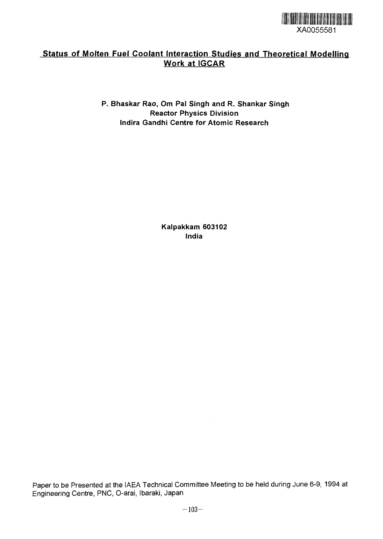

# Status of Molten Fuel Coolant Interaction Studies and Theoretical Modelling Work at IGCAR

**P. Bhaskar Rao, Om Pa! Singh and R. Shankar Singh Reactor Physics Division Indira Gandhi Centre for Atomic Research**

> **Kalpakkam 603102 India**

Paper to be Presented at the IAEA Technical Committee Meeting to be held during June 6-9, 1994 at Engineering Centre, PNC, O-arai, Ibaraki, Japan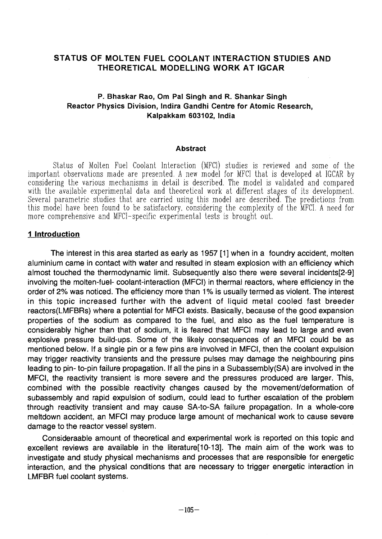# STATUS OF MOLTEN FUEL COOLANT INTERACTION STUDIES AND THEORETICAL MODELLING WORK AT IGCAR

## P. Bhaskar Rao, Om Pai Singh and R. Shankar Singh Reactor Physics Division, Indira Gandhi Centre for Atomic Research, Kalpakkam 603102, India

#### Abstract

Status of Molten Fuel Coolant Interaction (MFCl) studies is reviewed and some of the important observations made are presented. A new model for MFCl that is developed at IGCAR by considering the various mechanisms in detail is described. The model is validated and compared with the available experimental data and theoretical work at different stages of its development. Several parametric studies that are carried using this model are described. The predictions from this model have been found to be satisfactory, considering the complexity of the MFCl. A need for more comprehensive and MFCl-specific experimental tests is brought out.

### **1 Introduction**

The interest in this area started as early as 1957 [1] when in a foundry accident, molten aluminium came in contact with water and resulted in steam explosion with an efficiency which almost touched the thermodynamic limit. Subsequently also there were several incidents[2-9] involving the molten-fuel- coolant-interaction (MFCl) in thermal reactors, where efficiency in the order of 2% was noticed. The efficiency more than 1% is usually termed as violent. The interest in this topic increased further with the advent of liquid metal cooled fast breeder reactors(LMFBRs) where a potential for MFCl exists. Basically, because of the good expansion properties of the sodium as compared to the fuel, and also as the fuel temperature is considerably higher than that of sodium, it is feared that MFCl may lead to large and even explosive pressure build-ups. Some of the likely consequences of an MFCl could be as mentioned below. If a single pin or a few pins are involved in MFCl, then the coolant expulsion may trigger reactivity transients and the pressure pulses may damage the neighbouring pins leading to pin- to-pin failure propagation. If all the pins in a Subassembly(SA) are involved in the MFCl, the reactivity transient is more severe and the pressures produced are larger. This, combined with the possible reactivity changes caused by the movement/deformation of subassembly and rapid expulsion of sodium, could lead to further escalation of the problem through reactivity transient and may cause SA-to-SA failure propagation. In a whole-core meltdown accident, an MFCl may produce large amount of mechanical work to cause severe damage to the reactor vessel system.

Consideraable amount of theoretical and experimental work is reported on this topic and excellent reviews are available in the literature[10-13]. The main aim of the work was to investigate and study physical mechanisms and processes that are responsible for energetic interaction, and the physical conditions that are necessary to trigger energetic interaction in LMFBR fuel coolant systems.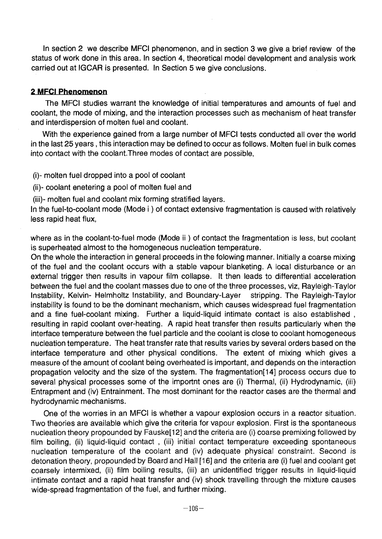In section 2 we describe MFCI phenomenon, and in section 3 we give a brief review of the status of work done in this area. In section 4, theoretical model development and analysis work carried out at IGCAR is presented. In Section 5 we give conclusions.

# **2 MFCI Phenomenon**

The MFCI studies warrant the knowledge of initial temperatures and amounts of fuel and coolant, the mode of mixing, and the interaction processes such as mechanism of heat transfer and interdispersion of molten fuel and coolant.

With the experience gained from a large number of MFCI tests conducted all over the world in the last 25 years, this interaction may be defined to occur as follows. Molten fuel in bulk comes into contact with the coolant.Three modes of contact are possible,

(i)- molten fuel dropped into a pool of coolant

(ii)- coolant enetering a pool of molten fuel and

(iii)- molten fuel and coolant mix forming stratified layers.

In the fuel-to-coolant mode (Mode i) of contact extensive fragmentation is caused with relatively less rapid heat flux,

where as in the coolant-to-fuel mode (Mode ii) of contact the fragmentation is less, but coolant is superheated almost to the homogeneous nucleation temperature.

On the whole the interaction in general proceeds in the folowing manner. Initially a coarse mixing of the fuel and the coolant occurs with a stable vapour blanketing. A local disturbance or an external trigger then results in vapour film collapse. It then leads to differential acceleration between the fuel and the coolant masses due to one of the three processes, viz, Rayleigh-Taylor Instability, Kelvin- Helmholtz Instability, and Boundary-Layer stripping. The Rayleigh-Taylor instability is found to be the dominant mechanism, which causes widespread fuel fragmentation and a fine fuel-coolant mixing. Further a liquid-liquid intimate contact is also established , resulting in rapid coolant over-heating. A rapid heat transfer then results particularly when the interface temperature between the fuel particle and the coolant is close to coolant homogeneous nucleation temperature. The heat transfer rate that results varies by several orders based on the interface temperature and other physical conditions. The extent of mixing which gives a measure of the amount of coolant being overheated is important, and depends on the interaction propagation velocity and the size of the system. The fragmentation[14] process occurs due to several physical processes some of the importnt ones are (i) Thermal, (ii) Hydrodynamic, (iii) Entrapment and (iv) Entrainment. The most dominant for the reactor cases are the thermal and hydrodynamic mechanisms.

One of the worries in an MFCI is whether a vapour explosion occurs in a reactor situation. Two theories are available which give the criteria for vapour explosion. First is the spontaneous nucleation theory propounded by Fauske[12] and the criteria are (i) coarse premixing followed by film boiling, (ii) liquid-liquid contact, (iii) initial contact temperature exceeding spontaneous nucleation temperature of the coolant and (iv) adequate physical constraint. Second is detonation theory, propounded by Board and Hall [16] and the criteria are (i) fuel and coolant get coarsely intermixed, (ii) film boiling results, (iii) an unidentified trigger results in liquid-liquid intimate contact and a rapid heat transfer and (iv) shock travelling through the mixture causes wide-spread fragmentation of the fuel, and further mixing.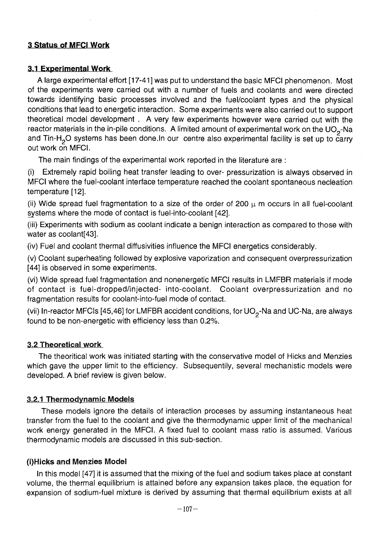# **3 Status of MFC! Work**

### **3.1 Experimental Work**

A large experimental effort [17-41 ] was put to understand the basic MFCI phenomenon. Most of the experiments were carried out with a number of fuels and coolants and were directed towards identifying basic processes involved and the fuel/coolant types and the physical conditions that lead to energetic interaction. Some experiments were also carried out to support theoretical model development . A very few experiments however were carried out with the reactor materials in the in-pile conditions. A limited amount of experimental work on the UO<sub>2</sub>-Na and Tin-H<sub>2</sub>O systems has been done.In our centre also experimental facility is set up to carry outwork on MFCI.

The main findings of the experimental work reported in the literature are :

(i) Extremely rapid boiling heat transfer leading to over- pressurization is always observed in MFCI where the fuel-coolant interface temperature reached the coolant spontaneous necleation temperature [12].

(ii) Wide spread fuel fragmentation to a size of the order of 200  $\mu$  m occurs in all fuel-coolant systems where the mode of contact is fuel-into-coolant [42].

(iii) Experiments with sodium as coolant indicate a benign interaction as compared to those with water as coolant[43].

(iv) Fuel and coolant thermal diffusivities influence the MFCI energetics considerably.

(v) Coolant superheating followed by explosive vaporization and consequent overpressurization [44] is observed in some experiments.

(vi) Wide spread fuel fragmentation and nonenergetic MFCI results in LMFBR materials if mode of contact is fuel-dropped/injected- into-coolant. Coolant overpressurization and no fragmentation results for coolant-into-fuel mode of contact.

(vii) In-reactor MFCIs [45,46] for LMFBR accident conditions, for  $UO<sub>2</sub>$ -Na and UC-Na, are always found to be non-energetic with efficiency less than 0.2%.

### 3.2 Theoretical work

The theoritical work was initiated starting with the conservative model of Hicks and Menzies which gave the upper limit to the efficiency. Subsequentily, several mechanistic models were developed. A brief review is given below.

### 3.2.1 Thermodynamic Models

These models ignore the details of interaction proceses by assuming instantaneous heat transfer from the fuel to the coolant and give the thermodynamic upper limit of the mechanical work energy generated in the MFCI. A fixed fuel to coolant mass ratio is assumed. Various thermodynamic models are discussed in this sub-section.

### (i)Hicks and Menzies Mode!

In this model [47] it is assumed that the mixing of the fuel and sodium takes place at constant volume, the thermal equilibrium is attained before any expansion takes place, the equation for expansion of sodium-fuel mixture is derived by assuming that thermal equilibrium exists at all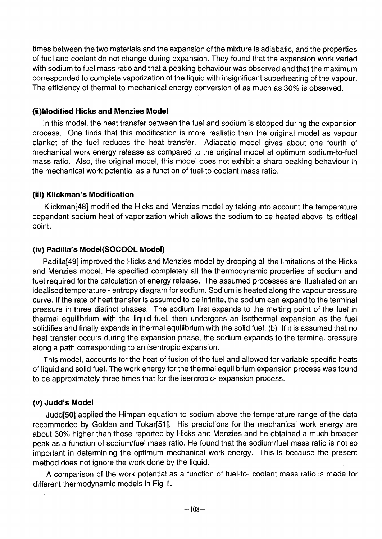times between the two materials and the expansion of the mixture is adiabatic, and the properties of fuel and coolant do not change during expansion. They found that the expansion work varied with sodium to fuel mass ratio and that a peaking behaviour was observed and that the maximum corresponded to complete vaporization of the liquid with insignificant superheating of the vapour. The efficiency of thermal-to-mechanical energy conversion of as much as 30% is observed.

### **(ii)Modified Hicks and Menzies Model**

In this model, the heat transfer between the fuel and sodium is stopped during the expansion process. One finds that this modification is more realistic than the original model as vapour blanket of the fuel reduces the heat transfer. Adiabatic model gives about one fourth of mechanical work energy release as compared to the original model at optimum sodium-to-fuel mass ratio. Also, the original model, this model does not exhibit a sharp peaking behaviour in the mechanical work potential as a function of fuel-to-coolant mass ratio.

## **(iii) Klickman's Modification**

Klickman[48] modified the Hicks and Menzies model by taking into account the temperature dependant sodium heat of vaporization which allows the sodium to be heated above its critical point.

## **(iv) Padiila's Model(SOCOOL Model)**

Padilla[49] improved the Hicks and Menzies model by dropping all the limitations of the Hicks and Menzies model. He specified completely all the thermodynamic properties of sodium and fuel required for the calculation of energy release. The assumed processes are illustrated on an idealised temperature - entropy diagram for sodium. Sodium is heated along the vapour pressure curve. If the rate of heat transfer is assumed to be infinite, the sodium can expand to the terminal pressure in three distinct phases. The sodium first expands to the melting point of the fuel in thermal equilibrium with the liquid fuel, then undergoes an isothermal expansion as the fuel solidifies and finally expands in thermal equilibrium with the solid fuel, (b) If it is assumed that no heat transfer occurs during the expansion phase, the sodium expands to the terminal pressure along a path corresponding to an isentropic expansion.

This model, accounts for the heat of fusion of the fuel and allowed for variable specific heats of liquid and solid fuel. The work energy for the thermal equilibrium expansion process was found to be approximately three times that for the isentropic- expansion process.

## **(v) Judd's Model**

Judd[50] applied the Himpan equation to sodium above the temperature range of the data recommeded by Golden and Tokar[51]. His predictions for the mechanical work energy are about 30% higher than those reported by Hicks and Menzies and he obtained a much broader peak as a function of sodium/fuel mass ratio. He found that the sodium/fuel mass ratio is not so important in determining the optimum mechanical work energy. This is because the present method does not ignore the work done by the liquid.

A comparison of the work potential as a function of fuel-to- coolant mass ratio is made for different thermodynamic models in Fig 1.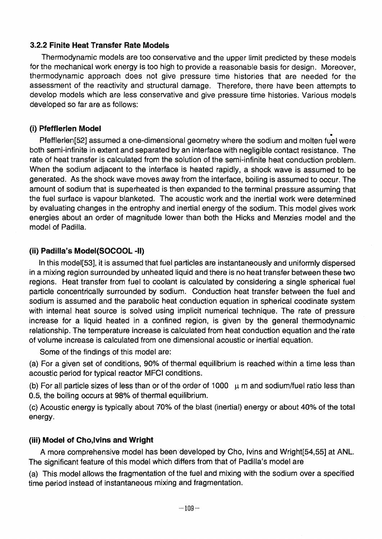# **3.2.2 Finite Heat Transfer Rate Models**

Thermodynamic models are too conservative and the upper limit predicted by these models for the mechanical work energy is too high to provide a reasonable basis for design. Moreover, thermodynamic approach does not give pressure time histories that are needed for the assessment of the reactivity and structural damage. Therefore, there have been attempts to develop models which are less conservative and give pressure time histories. Various models developed so far are as follows:

# (i) **Pfefflerlen Model**

Pfefflerlen[52] assumed a one-dimensional geometry where the sodium and molten fuel were both semi-infinite in extent and separated by an interface with negligible contact resistance. The rate of heat transfer is calculated from the solution of the semi-infinite heat conduction problem. When the sodium adjacent to the interface is heated rapidly, a shock wave is assumed to be generated. As the shock wave moves away from the interface, boiling is assumed to occur. The amount of sodium that is superheated is then expanded to the terminal pressure assuming that the fuel surface is vapour blanketed. The acoustic work and the inertial work were determined by evaluating changes in the entrophy and inertial energy of the sodium. This model gives work energies about an order of magnitude lower than both the Hicks and Menzies model and the model of Padilla.

# **(ii) Padilla's Model(SOCOOL -II)**

In this model[53], it is assumed that fuel particles are instantaneously and uniformly dispersed in a mixing region surrounded by unheated liquid and there is no heat transfer between these two regions. Heat transfer from fuel to coolant is calculated by considering a single spherical fuel particle concentrically surrounded by sodium. Conduction heat transfer between the fuel and sodium is assumed and the parabolic heat conduction equation in spherical coodinate system with internal heat source is solved using implicit numerical technique. The rate of pressure increase for a liquid heated in a confined region, is given by the general thermodynamic relationship. The temperature increase is calculated from heat conduction equation and the'rate of volume increase is calculated from one dimensional acoustic or inertial equation.

Some of the findings of this model are:

(a) For a given set of conditions, 90% of thermal equilibrium is reached within a time less than acoustic period for typical reactor MFCI conditions.

(b) For all particle sizes of less than or of the order of 1000  $\mu$  m and sodium/fuel ratio less than 0.5, the boiling occurs at 98% of thermal equilibrium.

(c) Acoustic energy is typically about 70% of the blast (inertial) energy or about 40% of the total energy.

# (iii) Model of Cho,lvins and Wright

A more comprehensive model has been developed by Cho, Ivins and Wright[54,55] at ANL The significant feature of this model which differs from that of Padilla's model are

(a) This model allows the fragmentation of the fuel and mixing with the sodium over a specified time period instead of instantaneous mixing and fragmentation.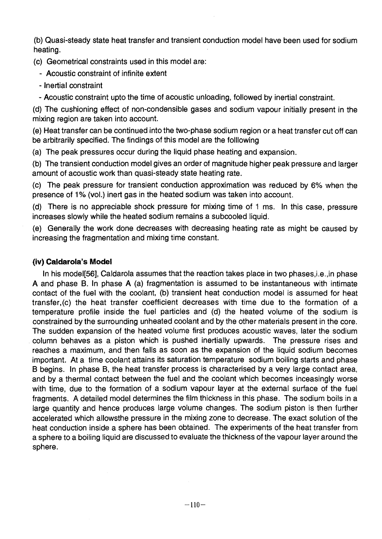(b) Quasi-steady state heat transfer and transient conduction model have been used for sodium heating.

(c) Geometrical constraints used in this model are:

 **Acoustic** constraint of infinite extent

- Inertial constraint

Acoustic constraint upto the time of acoustic unloading, followed by inertial constraint.

(d) The cushioning effect of non-condensible gases and sodium vapour initially present in the mixing region are taken into account.

(e) Heat transfer can be continued into the two-phase sodium region or a heat transfer cut off can be arbitrarily specified. The findings of this model are the folllowing

(a) The peak pressures occur during the liquid phase heating and expansion.

(b) The transient conduction model gives an order of magnitude higher peak pressure and larger amount of acoustic work than quasi-steady state heating rate.

(c) The peak pressure for transient conduction approximation was reduced by 6% when the presence of 1% (vol.) inert gas in the heated sodium was taken into account.

(d) There is no appreciable shock pressure for mixing time of 1 ms. In this case, pressure increases slowly while the heated sodium remains a subcooled liquid.

(e) Generally the work done decreases with decreasing heating rate as might be caused by increasing the fragmentation and mixing time constant.

# **(iv) Caldarola's Model**

In his model[56], Caldarola assumes that the reaction takes place in two phases, i.e., in phase A and phase B. In phase A (a) fragmentation is assumed to be instantaneous with intimate contact of the fuel with the coolant, (b) transient heat conduction model is assumed for heat transfer.(c) the heat transfer coefficient decreases with time due to the formation of a temperature profile inside the fuel particles and (d) the heated volume of the sodium is constrained by the surrounding unheated coolant and by the other materials present in the core. The sudden expansion of the heated volume first produces acoustic waves, later the sodium column behaves as a piston which is pushed inertially upwards. The pressure rises and reaches a maximum, and then falls as soon as the expansion of the liquid sodium becomes important. At a time coolant attains its saturation temperature sodium boiling starts and phase begins. In phase B, the heat transfer process is characterised by a very large contact area, and by a thermal contact between the fuel and the coolant which becomes inceasingly worse with time, due to the formation of a sodium vapour layer at the external surface of the fuel fragments. A detailed model determines the film thickness in this phase. The sodium boils in a large quantity and hence produces large volume changes. The sodium piston is then further accelerated which allowsthe pressure in the mixing zone to decrease. The exact solution of the heat conduction inside a sphere has been obtained. The experiments of the heat transfer from a sphere to a boiling liquid are discussed to evaluate the thickness of the vapour layer around the sphere.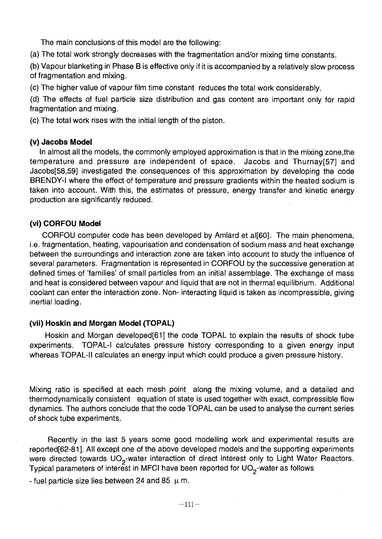The main conclusions of this model are the following:

(a) The total work strongly decreases with the fragmentation and/or mixing time constants.

(b) Vapour blanketing in Phase В is effective only if it is accompanied by a relatively slow process of fragmentation and mixing.

(c) The higher value of vapour film time constant reduces the total work considerably.

(d) The effects of fuel particle size distribution and gas content are important only for rapid fragmentation and mixing.

(c) The total work rises with the initial length of the piston.

## **(v) Jacobs Model**

In almost all the models, the commonly employed approximation is that in the mixing zone,the temperature and pressure are independent of space. Jacobs and Thurnay[57] and Jacobs[58,59] investigated the consequences of this approximation by developing the code BRENDY-I where the effect of temperature and pressure gradients within the heated sodium is taken into account. With this, the estimates of pressure, energy transfer and kinetic energy production are significantly reduced.

## **(vi) CORFOU Model**

CORFOU computer code has been developed by Amlard et al[60]. The main phenomena, i.e. fragmentation, heating, vapourisation and condensation of sodium mass and heat exchange between the surroundings and interaction zone are taken into account to study the influence of several parameters. Fragmentation is represented in CORFOU by the successive generation at defined times of 'families' of small particles from an initial assemblage. The exchange of mass and heat is considered between vapour and liquid that are not in thermal equilibrium. Additional coolant can enter the interaction zone. Non-interacting liquid is taken as incompressible, giving inertial loading.

# **(vil) Hoskin and Morgan Model (TOPAL)**

Hoskin and Morgan developed[61] the code TOPAL to explain the results of shock tube experiments. TOPAL-I calculates pressure history corresponding to a given energy input whereas TOPAL-II calculates an energy input which could produce a given pressure history.

Mixing ratio is specified at each mesh point along the mixing volume, and a detailed and thermodynamically consistent equation of state is used together with exact, compressible flow dynamics. The authors conclude that the code TOPAL can be used to analyse the current series of shock tube experiments.

Recently in the last 5 years some good modelling work and experimental results are reported[62-81]. All except one of the above developed models and the supporting experiments were directed towards UO<sub>2</sub>-water interaction of direct interest only to Light Water Reactors. Typical parameters of interest in MFCI have been reported for UO<sub>2</sub>-water as follows

- fuel particle size lies between 24 and 85  $\mu$  m.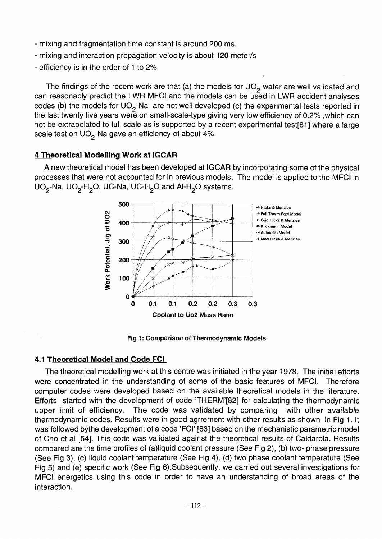- mixing and fragmentation time constant is around 200 ms.
- mixing and interaction propagation velocity is about 120 meter/s
- efficiency is in the order of 1 to 2%

The findings of the recent work are that (a) the models for UO<sub>2</sub>-water are well validated and can reasonably predict the LWR MFCI and the models can be used in LWR accident analyses codes (b) the models for UO<sub>2</sub>-Na are not well developed (c) the experimental tests reported in the last twenty five years were on small-scale-type giving very low efficiency of 0.2% .which can not be extrapolated to full scale as is supported by a recent experimental test[81] where a large scale test on  $UO<sub>2</sub>$ -Na gave an efficiency of about 4%.

### **4 Theoretical Modelling Work at IGCAR**

**A** new theoretical model has been developed at IGCAR by incorporating some of the physical processes that were not accounted for in previous models. The model is applied to the MFCI in UO<sub>2</sub>-Na, UO<sub>2</sub>-H<sub>2</sub>O, UC-Na, UC-H<sub>2</sub>O and Al-H<sub>2</sub>O systems.



Fig 1: Comparison of Thermodynamic Models

## **4.1 Theoretical Model and Code FCI**

The theoretical modelling work at this centre was initiated in the year 1978. The initial efforts were concentrated in the understanding of some of the basic features of MFCI. Therefore computer codes were developed based on the available theoretical models in the literature. Efforts started with the development of code THERM'[82] for calculating the thermodynamic upper limit of efficiency. The code was validated by comparing with other available thermodynamic codes. Results were in good agrrement with other results as shown in Fig 1. It was followed bythe development of a code 'FCI' [83] based on the mechanistic parametric model of Cho et al [54]. This code was validated against the theoretical results of Caldarola. Results compared are the time profiles of (a)liquid coolant pressure (See Fig 2), (b) two- phase pressure (See Fig 3), (c) liquid coolant temperature (See Fig 4), (d) two phase coolant temperature (See Fig 5) and (e) specific work (See Fig 6).Subsequently, we carried out several investigations for MFCI energetics using this code in order to have an understanding of broad areas of the interaction.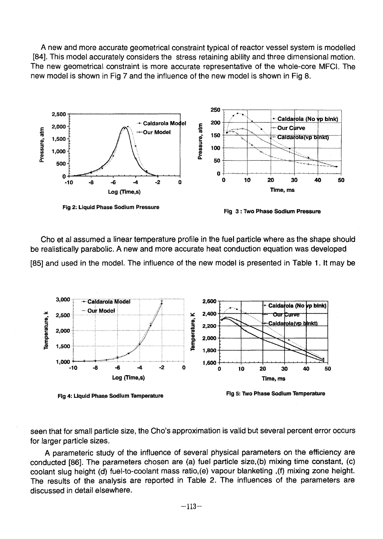A new and more accurate geometrical constraint typical of reactor vessel system is modelled [84]. This model accurately considers the stress retaining ability and three dimensional motion. The new geometrical constraint is more accurate representative of the whole-core MFCI. The new model is shown in Fig 7 and the influence of the new model is shown in Fig 8.



Cho et al assumed a linear temperature profile in the fuel particle where as the shape should be realistically parabolic. A new and more accurate heat conduction equation was developed [85] and used in the model. The influence of the new model is presented in Table 1. It may be



seen that for small particle size, the Cho's approximation is valid but several percent error occurs for larger particle sizes.

A parameteric study of the influence of several physical parameters on the efficiency are conducted [86]. The parameters chosen are (a) fuel particle size,(b) mixing time constant, (c) coolant slug height (d) fuel-to-coolant mass ratio,(e) vapour blanketing ,(f) mixing zone height. The results of the analysis are reported in Table 2. The influences of the parameters are discussed in detail elsewhere.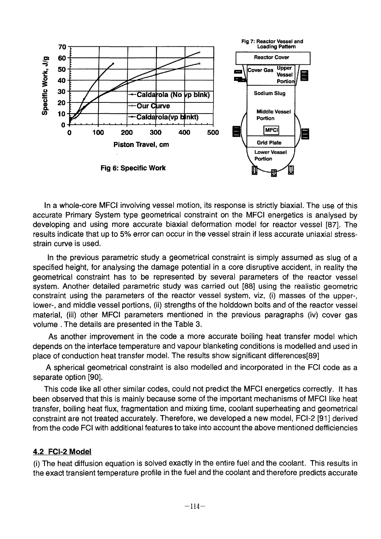

In a whole-core MFCI involving vessel motion, its response is strictly biaxial. The use of this accurate Primary System type geometrical constraint on the MFCI energetics is analysed by developing and using more accurate biaxial deformation model for reactor vessel [87]. The results indicate that up to 5% error can occur in the vessel strain if less accurate uniaxial stress strain curve is used.

In the previous parametric study a geometrical constraint is simply assumed as slug of a specified height, for analysing the damage potential in a core disruptive accident, in reality the geometrical constraint has to be represented by several parameters of the reactor vessel system. Another detailed parametric study was carried out [88] using the realistic geometric constraint using the parameters of the reactor vessel system, viz, (i) masses of the upper-, lower-, and middle vessel portions, (ii) strengths of the holddown bolts and of the reactor vessel material, (iii) other MFCI parameters mentioned in the previous paragraphs (iv) cover gas volume . The details are presented in the Table 3.

As another improvement in the code a more accurate boiling heat transfer model which depends on the interface temperature and vapour blanketing conditions is modelled and used in place of conduction heat transfer model. The results show significant differences[89]

A spherical geometrical constraint is also modelled and incorporated in the FCI code as a separate option [90].

This code like all other similar codes, could not predict the MFCI energetics correctly. It has been observed that this is mainly because some of the important mechanisms of MFCI like heat transfer, boiling heat flux, fragmentation and mixing time, coolant superheating and geometrical constraint are not treated accurately. Therefore, we developed a new model, FCI-2 [91] derived from the code FCI with additional features to take into account the above mentioned defficiencies

# **4.2 FCI-2 Model**

(i) The heat diffusion equation is solved exactly in the entire fuel and the coolant. This results in the exact transient temperature profile in the fuel and the coolant and therefore predicts accurate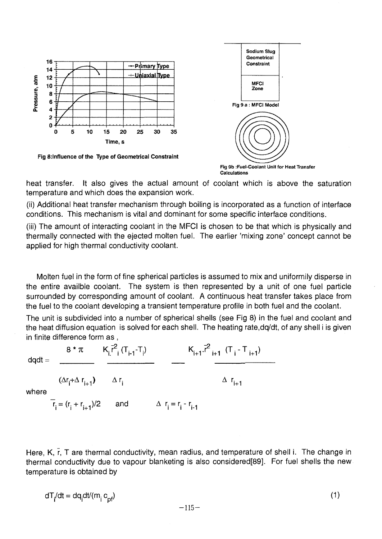

heat transfer. It also gives the actual amount of coolant which is above the saturation temperature and which does the expansion work.

(ii) Additional heat transfer mechanism through boiling is incorporated as a function of interface conditions. This mechanism is vital and dominant for some specific interface conditions.

(iii) The amount of interacting coolant in the MFCI is chosen to be that which is physically and thermally connected with the ejected molten fuel. The earlier 'mixing zone' concept cannot be applied for high thermal conductivity coolant.

Molten fuel in the form of fine spherical particles is assumed to mix and uniformily disperse in the entire availble coolant. The system is then represented by a unit of one fuel particle surrounded by corresponding amount of coolant. A continuous heat transfer takes place from the fuel to the coolant developing a transient temperature profile in both fuel and the coolant.

The unit is subdivided into a number of spherical shells (see Fig 8) in the fuel and coolant and the heat diffusion equation is solved for each shell. The heating rate,dq/dt, of any shell i is given in finite difference form as ,

8 \*  $\pi$   $K_i \bar{r}^2 (T_{i-1} - T_i)$   $K_{i+1} \bar{r}^2 (T_i - T_{i+1})$  $dd =$ where  $(\Delta r_i + \Delta r_{i+1})$   $\Delta r_i$  $r_i = (r_i + r_{i+1})/2$  and  $\Delta r_i = r_i - r_{i+1}$  $\Delta$  **r**<sub>in</sub>

Here, K, r, T are thermal conductivity, mean radius, and temperature of shell i. The change in thermal conductivity due to vapour blanketing is also considered[89]. For fuel shells the new temperature is obtained by

$$
dT_i/dt = dq_i dt/(m_i c_{pf})
$$
 (1)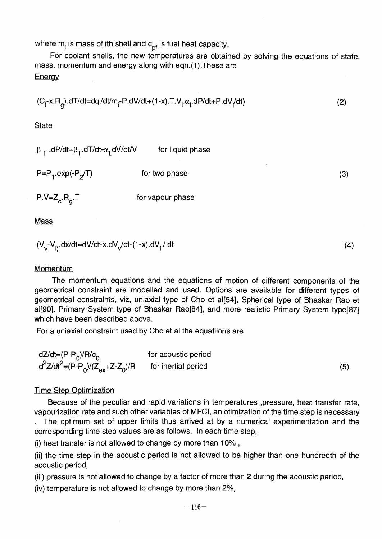where  $m_i$  is mass of ith shell and  $c_{\rm pf}$  is fuel heat capacity.

For coolant shells, the new temperatures are obtained by solving the equations of state, mass, momentum and energy along with eqn.(1).These are **Energy** 

$$
(C_{1} - x.R_{g}).dT/dt = dq_{1}/dt/m_{1} - P.dV/dt + (1-x).T.V_{1}.\alpha_{1}.dP/dt + P.dV/dt)
$$
\n(2)

**State** 

 $\beta$  <sub>T</sub> .dP/dt= $\beta$ <sub>T</sub>.dT/dt- $\alpha$ <sub>I</sub> dV/dt/V  $\hskip1cm$  for liquid phase

P=P<sub>1</sub>.exp(-P<sub>2</sub>  $\int$  for two phase (3)

 $P.V=Z_c.R_a.T$  for vapour phase

**Mass** 

$$
(V_v - V_{ij}.dx/dt = dV/dt - x.dV/dt - (1-x).dV_i/dt \tag{4}
$$

#### Momentum

The momentum equations and the equations of motion of different components of the geometrical constraint are modelled and used. Options are available for different types of geometrical constraints, viz, uniaxial type of Cho et al[54], Spherical type of Bhaskar Rao et al [90], Primary System type of Bhaskar Rao [84], and more realistic Primary System type [87] which have been described above.

Ear a uniquial constraint used by C For a uniaxial constraint used by Cho et al the equatiions are

| dZ/dt= $(P-P0)/R/c0$                   | for acoustic period |     |
|----------------------------------------|---------------------|-----|
| $d^2Z/dt^2 = (P-P_0)/(Z_{ex}+Z-Z_0)/R$ | for inertial period | (5) |

### Time Step Optimization

Because of the peculiar and rapid variations in temperatures , pressure, heat transfer rate, vapourization rate and such other variables of MFCI, an otimization of the time step is necessary

. The optimum set of upper limits thus arrived at by a numerical experimentation and the corresponding time step values are as follows. In each time step,

(i) heat transfer is not allowed to change by more than 10% ,

(ii) the time step in the acoustic period is not allowed to be higher than one hundredth of the acoustic period,

(iii) pressure is not allowed to change by a factor of more than 2 during the acoustic period,

(iv) temperature is not allowed to change by more than 2%,

 $(4)$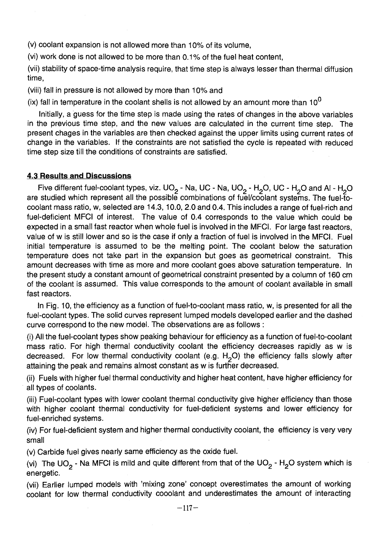(v) coolant expansion is not allowed more than 10% of its volume,

(vi) work done is not allowed to be more than 0.1% of the fuel heat content,

(vii) stability of space-time analysis require, that time step is always lesser than thermal diffusion time,

(viii) fall in pressure is not allowed by more than 10% and

(ix) fall in temperature in the coolant shells is not allowed by an amount more than  $10^0$ 

Initially, a guess for the time step is made using the rates of changes in the above variables in the previous time step, and the new values are calculated in the current time step. The present chages in the variables are then checked against the upper limits using current rates of change in the variables. If the constraints are not satisfied the cycle is repeated with reduced time step size till the conditions of constraints are satisfied.

### 4.3 Results **and** Discussions

Five different fuel-coolant types, viz. UO<sub>2</sub> - Na, UC - Na, UO<sub>2</sub> - H<sub>2</sub>O, UC - H<sub>2</sub>O and Al - H<sub>2</sub>O are studied which represent all the possible combinations of fuel/coolant systems. The fuel-tocoolant mass ratio, w, selected are 14.3,10.0, 2.0 and 0.4. This includes a range of fuel-rich and fuel-deficient MFCI of interest. The value of 0.4 corresponds to the value which could be expected in a small fast reactor when whole fuel is involved in the MFCI. For large fast reactors, value of w is still lower and so is the case if only a fraction of fuel is involved in the MFCI. Fuel initial temperature is assumed to be the melting point. The coolant below the saturation temperature does not take part in the expansion but goes as geometrical constraint. This amount decreases with time as more and more coolant goes above saturation temperature. In the present study a constant amount of geometrical constraint presented by a column of 160 cm of the coolant is assumed. This value corresponds to the amount of coolant available in small fast reactors.

In Fig. 10, the efficiency as a function of fuel-to-coolant mass ratio, w, is presented for all the fuel-coolant types. The solid curves represent lumped models developed earlier and the dashed curve correspond to the new model. The observations are as follows :

(i) All the fuel-coolant types show peaking behaviour for efficiency as a function of fuel-to-coolant mass ratio. For high thermal conductivity coolant the efficiency decreases rapidly as w is decreased. For low thermal conductivity coolant (e.g.  $H<sub>2</sub>O$ ) the efficiency falls slowly after attaining the peak and remains almost constant as w is further decreased.

(ii) Fuels with higher fuel thermal conductivity and higher heat content, have higher efficiency for all types of coolants.

(iii) Fuel-coolant types with lower coolant thermal conductivity give higher efficiency than those with higher coolant thermal conductivity for fuel-deficient systems and lower efficiency for fuel-enriched systems.

(iv) For fuel-deficient system and higher thermal conductivity coolant, the efficiency is very very small

(v) Carbide fuel gives nearly same efficiency as the oxide fuel.

(vi) The UO<sub>2</sub> - Na MFCI is mild and quite different from that of the UO<sub>2</sub> - H<sub>2</sub>O system which is energetic.

(vii) Earlier lumped models with 'mixing zone' concept overestimates the amount of working coolant for low thermal conductivity cooolant and underestimates the amount of interacting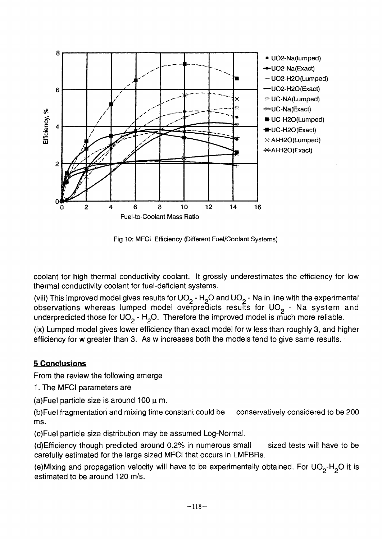

Fig 10: MFCI Efficiency (Different Fuel/Coolant Systems)

coolant for high thermal conductivity coolant. It grossly underestimates the efficiency for low thermal conductivity coolant for fuel-deficient systems.

(viii) This improved model gives results for UO<sub>2</sub> - H<sub>2</sub>O and UO<sub>2</sub> - Na in line with the experimental observations whereas lumped model overpredicts results for UO<sub>2</sub> - Na system and underpredicted those for UO<sub>2</sub> - H<sub>2</sub>O. Therefore the improved model is much more reliable.

(ix) Lumped model gives lower efficiency than exact model for w less than roughly 3, and higher efficiency for w greater than 3. As w increases both the models tend to give same results.

# **5 Conclusions**

From the review the following emerge

1. The MFCI parameters are

(a) Fuel particle size is around 100  $\mu$  m.

(b)Fuel fragmentation and mixing time constant could be conservatively considered to be 200 ms.

(c)Fuel particle size distribution may be assumed Log-Normal.

(d)Efficiency though predicted around 0.2% in numerous small sized tests will have to be carefully estimated for the large sized MFCI that occurs in LMFBRs.

(e)Mixing and propagation velocity will have to be experimentally obtained. For UO<sub>2</sub>-H<sub>2</sub>O it is estimated to be around 120 m/s.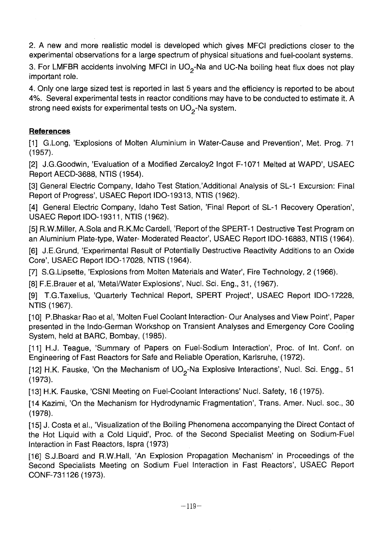2. A new and more realistic model is developed which gives MFCI predictions closer to the experimental observations for a large spectrum of physical situations and fuel-coolant systems.

3. For LMFBR accidents involving MFCI in  $UO<sub>2</sub>$ -Na and UC-Na boiling heat flux does not play important role.

4. Only one large sized test is reported in last 5 years and the efficiency is reported to be about 4%. Several experimental tests in reactor conditions may have to be conducted to estimate it. A strong need exists for experimental tests on  $UO<sub>2</sub>$ -Na system.

# **References**

[1] G.Long, 'Explosions of Molten Aluminium in Water-Cause and Prevention', Met. Prog. 71 (1957).

[2] J.G.Goodwin, 'Evaluation of a Modified Zercaloy2 Ingot F-1071 Melted at WAPD', USAEC Report AECD-3688, NTIS (1954).

[3] General Electric Company, Idaho Test Station,'Additional Analysis of SL-1 Excursion: Final Report of Progress', USAEC Report IDO-19313, NTIS (1962).

[4] General Electric Company, Idaho Test Sation, 'Final Report of SL-1 Recovery Operation', USAEC Report IDO-19311, NTIS (1962).

[5] R.W.Miller, A.Sola and R.K.Mc Cardell, 'Report of the SPERT-1 Destructive Test Program on an Aluminium Plate-type, Water- Moderated Reactor', USAEC Report IDO-16883, NTIS (1964).

[6] J.E.Grund, 'Experimental Result of Potentially Destructive Reactivity Additions to an Oxide Core', USAEC Report IDO-17028, NTIS (1964).

[7] S.G.Lipsette, 'Explosions from Molten Materials and Water', Fire Technology, 2 (1966).

[8] F.E.Brauer et al, 'Metal/Water Explosions', Nucl. Sci. Eng., 31, (1967).

[9] T.G.Taxelius, 'Quarterly Technical Report, SPERT Project', USAEC Report IDO-17228, NTIS (1967).

[10] P.Bhaskar Rao et al, 'Molten Fuel Coolant Interaction- Our Analyses and View Point', Paper presented in the Indo-German Workshop on Transient Analyses and Emergency Core Cooling System, held at BARC, Bombay, (1985).

[11] H.J. Teague, 'Summary of Papers on Fuel-Sodium Interaction', Proc. of Int. Conf. on Engineering of Fast Reactors for Safe and Reliable Operation, Karlsruhe, (1972).

[12] H.K. Fauske, 'On the Mechanism of  $UO<sub>2</sub>$ -Na Explosive Interactions', Nucl. Sci. Engg., 51 (1973).

[13] H.K. Fauske, 'CSN! Meeting on Fuel-Coolant Interactions' Nucl. Safety, 16 (1975).

[14 Kazimi, 'On the Mechanism for Hydrodynamic Fragmentation', Trans. Amer. Nucl. soc, 30 (1978).

[15] J. Costa et al., 'Visualization of the Boiling Phenomena accompanying the Direct Contact of the Hot Liquid with a Cold Liquid', Proc. of the Second Specialist Meeting on Sodium-Fuel Interaction in Fast Reactors, Ispra (1973)

[16] S.J.Board and R.W.Hall, 'An Explosion Propagation Mechanism' in Proceedings of the Second Specialists Meeting on Sodium Fuel Interaction in Fast Reactors', USAEC Report CONF-731126 (1973).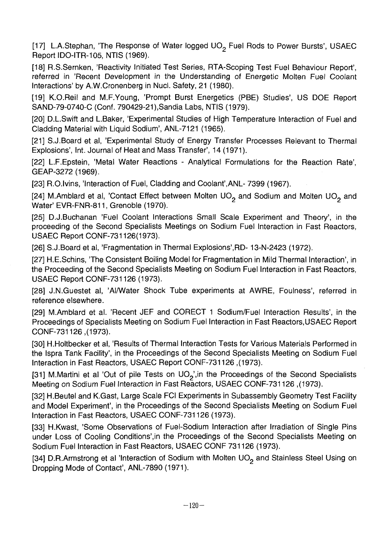[17] L.A.Stephan, 'The Response of Water logged UO<sub>2</sub> Fuel Rods to Power Bursts', USAEC Report IDO-ITR-105, NTIS (1969).

[18] R.S.Sernken, 'Reactivity Initiated Test Series, RTA-Scoping Test Fuel Behaviour Report', referred in 'Recent Development in the Understanding of Energetic Molten Fuel Coolant Interactions' by A.W.Cronenberg in Nucl. Safety, 21 (1980).

[19] K.O.Reil and M.F. Young, 'Prompt Burst Energetics (PBE) Studies', US DOE Report SAND-79-0740-C (Conf. 790429-21 ),Sandia Labs, NTIS (1979).

[20] D.L.Swift and L.Baker, 'Experimental Studies of High Temperature Interaction of Fuel and Cladding Material with Liquid Sodium', ANL-7121 (1965).

[21] S.J.Board et al, 'Experimental Study of Energy Transfer Processes Relevant to Thermal Explosions', Int. Journal of Heat and Mass Transfer', 14 (1971).

[22] L.F.Epstein, 'Metal Water Reactions - Analytical Formulations for the Reaction Rate', GEAP-3272(1969).

[23] R.O.Ivins, 'Interaction of Fuel, Cladding and Coolant', ANL-7399 (1967).

[24] M.Amblard et al, 'Contact Effect between Molten UO<sub>2</sub> and Sodium and Molten UO<sub>2</sub> and Water' EVR-FNR-811, Grenoble (1970).

[25] D.J.Buchanan 'Fuel Coolant Interactions Small Scale Experiment and Theory', in the proceeding of the Second Specialists Meetings on Sodium Fuel Interaction in Fast Reactors, USAEC Report CONF-731126(1973).

[26] S.J.Board et al, 'Fragmentation in Thermal Explosions', RD- 13-N-2423 (1972).

[27] H.E.Schins, The Consistent Boiling Model for Fragmentation in Mild Thermal Interaction', in the Proceeding of the Second Specialists Meeting on Sodium Fuel Interaction in Fast Reactors, USAEC Report CONF-731126 (1973).

[28] J.N.Guestet al, 'Al/Water Shock Tube experiments at AWRE, Foulness', referred in reference elsewhere.

[29] M.Amblard et al. 'Recent JEF and CORECT 1 Sodium/Fuel Interaction Results', in the Proceedings of Specialists Meeting on Sodium Fuel Interaction in Fast Reactors,USAEC Report CONF-731126 ,(1973).

[30] H.Holtbecker et al, 'Results of Thermal Interaction Tests for Various Materials Performed in the Ispra Tank Facility', in the Proceedings of the Second Specialists Meeting on Sodium Fuel Interaction in Fast Reactors, USAEC Report CONF-731126 ,(1973).

[31] M.Martini et al 'Out of pile Tests on UO<sub>2</sub>', in the Proceedings of the Second Specialists Meeting on Sodium Fuel Interaction in Fast Reactors, USAEC CONF-731126 ,(1973).

[32] H.Beutel and K.Gast, Large Scale FCI Experiments in Subassembly Geometry Test Facility and Model Experiment', in the Proceedings of the Second Specialists Meeting on Sodium Fuel Interaction in Fast Reactors, USAEC CONF-731126 (1973).

[33] H.Kwast, 'Some Observations of Fuel-Sodium Interaction after Irradiation of Single Pins under Loss of Cooling Conditions',in the Proceedings of the Second Specialists Meeting on Sodium Fuel Interaction in Fast Reactors, USAEC CONF 731126 (1973).

[34] D.R.Armstrong et al 'Interaction of Sodium with Molten UO<sub>2</sub> and Stainless Steel Using on Dropping Mode of Contact', ANL-7890 (1971).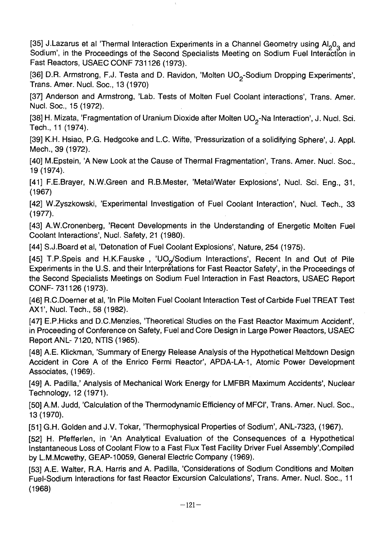[35] J.Lazarus et al 'Thermal Interaction Experiments in a Channel Geometry using Al<sub>2</sub>0<sub>3</sub> and Sodium', in the Proceedings of the Second Specialists Meeting on Sodium Fuel Interaction in Fast Reactors, USAEC CONF 731126 (1973).

[36] D.R. Armstrong, F.J. Testa and D. Ravidon, 'Molten UO<sub>2</sub>-Sodium Dropping Experiments', Trans. Amer. Nucl. Soc, 13 (1970)

[37] Anderson and Armstrong, 'Lab. Tests of Molten Fuel Coolant interactions', Trans. Amer. Nucl. Soc, 15(1972).

[38] H. Mizata, 'Fragmentation of Uranium Dioxide after Molten UO<sub>2</sub>-Na Interaction', J. Nucl. Sci. Tech., 11 (1974).

[39] K.H. Hsiao, P.G. Hedgcoke and L.C. Wifte, 'Pressurization of a solidifying Sphere', J. Appl. Mech., 39(1972).

[40] M.Epstein, 'A New Look at the Cause of Thermal Fragmentation', Trans. Amer. Nucl. Soc., 19(1974).

[41] F.E.Brayer, N.W.Green and R.B.Mester, 'Metal/Water Explosions', Nucl. Sci. Eng., 31, (1967)

[42] W.Zyszkowski, 'Experimental Investigation of Fuel Coolant Interaction', Nucl. Tech., 33 (1977).

[43] A.W.Cronenberg, 'Recent Developments in the Understanding of Energetic Molten Fuel Coolant Interactions', Nucl. Safety, 21 (1980).

[44] S.J.Board et al, 'Detonation of Fuel Coolant Explosions', Nature, 254 (1975).

[45] T.P.Speis and H.K.Fauske, 'UO<sub>2</sub>/Sodium Interactions', Recent In and Out of Pile Experiments in the U.S. and their Interpretations for Fast Reactor Safety', in the Proceedings of the Second Specialists Meetings on Sodium Fuel Interaction in Fast Reactors, USAEC Report CONF-731126 (1973).

[46] R.C.Doerner et al, 'In Pile Molten Fuel Coolant Interaction Test of Carbide Fuel TREAT Test АХ1', Nucl. Tech., 58 (1982).

[47] E.P.Hicks and D.C.Menzies, 'Theoretical Studies on the Fast Reactor Maximum Accident', in Proceeding of Conference on Safety, Fuel and Core Design in Large Power Reactors, USAEC Report ANL- 7120, NTIS (1965).

[48] A.E. Klickman, 'Summary of Energy Release Analysis of the Hypothetical Meltdown Design Accident in Core A of the Enrico Fermi Reactor', APDA-LA-1, Atomic Power Development Associates, (1969).

[49] A. Padilla,' Analysis of Mechanical Work Energy for LMFBR Maximum Accidents', Nuclear Technology, 12 (1971).

[50] A.M. Judd, 'Calculation of the Thermodynamic Efficiency of MFCI', Trans. Amer. Nucl. Soc., 13 (1970).

[51] G.H. Golden and J.V. Tokar, 'Thermophysical Properties of Sodium', ANL-7323, (1967).

[52] H. Pfefferlen, in 'An Analytical Evaluation of the Consequences of a Hypothetical Instantaneous Loss of Coolant Flow to a Fast Flux Test Facility Driver Fuel Assembly'.Compiled by L.M.Mcwethy, GEAP-10059, General Electric Company (1969).

[53] A.E. Walter, R.A. Harris and A. Padilla, 'Considerations of Sodium Conditions and Molten Fuel-Sodium Interactions for fast Reactor Excursion Calculations', Trans. Amer. Nucl. Soc., 11 (1968)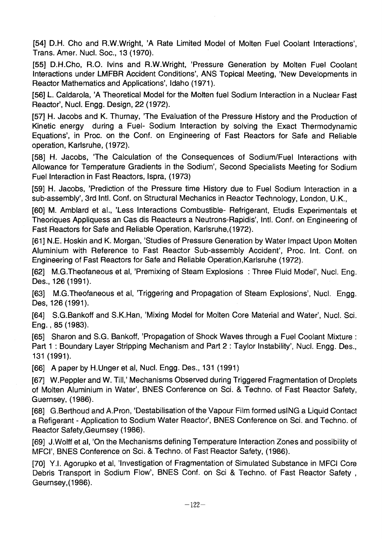[54] D.H. Cho and R.W.Wright, 'A Rate Limited Model of Molten Fuel Coolant Interactions', Trans. Amer. Nucl. Soc, 13 (1970).

[55] D.H.Cho, R.O. Ivins and R.W.Wright, 'Pressure Generation by Molten Fuel Coolant Interactions under LMFBR Accident Conditions', ANS Topical Meeting, 'New Developments in Reactor Mathematics and Applications', Idaho (1971).

[56] L. Caldarola, 'A Theoretical Model for the Molten fuel Sodium Interaction in a Nuclear Fast Reactor', Nucl. Engg. Design, 22 (1972).

[57] H. Jacobs and K. Thurnay, 'The Evaluation of the Pressure History and the Production of Kinetic energy during a Fuel- Sodium Interaction by solving the Exact Thermodynamic Equations', in Proc. on the Conf. on Engineering of Fast Reactors for Safe and Reliable operation, Karlsruhe, (1972).

[58] H. Jacobs, 'The Calculation of the Consequences of Sodium/Fuel Interactions with Allowance for Temperature Gradients in the Sodium', Second Specialists Meeting for Sodium Fuel Interaction in Fast Reactors, Ispra, (1973)

[59] H. Jacobs, 'Prediction of the Pressure time History due to Fuel Sodium Interaction in a sub-assembly', 3rd Intl. Conf. on Structural Mechanics in Reactor Technology, London, U.K.,

[60] M. Amblard et al., 'Less Interactions Combustible- Refrigerant, Etudis Experimentals et Theoriques Appliquess an Cas dis Reacteurs a Neutrons-Rapidis', Intl. Conf. on Engineering of Fast Reactors for Safe and Reliable Operation, Karlsruhe,(1972).

[61] N.E. Hoskin and K. Morgan, 'Studies of Pressure Generation by Water Impact Upon Molten Aluminium with Reference to Fast Reactor Sub-assembly Accident', Proc. Int. Conf. on Engineering of Fast Reactors for Safe and Reliable Operation,Karlsruhe (1972).

[62] M.G.Theofaneous et al, 'Premixing of Steam Explosions : Three Fluid Model', Nucl. Eng. Des., 126(1991).

[63] M.G.Theofaneous et al, 'Triggering and Propagation of Steam Explosions', Nucl. Engg. Des, 126(1991).

[64] S.G.Bankoff and S.K.Han, 'Mixing Model for Molten Core Material and Water', Nucl. Sci. Eng., 85 (1983).

[65] Sharon and S.G. Bankoff, 'Propagation of Shock Waves through a Fuel Coolant Mixture : Part 1 : Boundary Layer Stripping Mechanism and Part 2 : Taylor Instability', Nucl. Engg. Des., 131 (1991).

[66] A paper by H.Unger et al, Nucl. Engg. Des., 131 (1991)

[67] W.Peppler and W. Till,' Mechanisms Observed during Triggered Fragmentation of Droplets of Molten Aluminium in Water', BNES Conference on Sci. & Techno, of Fast Reactor Safety, Guernsey, (1986).

[68] G.Berthoud and A.Pron, 'Destabilisation of the Vapour Film formed usING a Liquid Contact a Refigerant - Application to Sodium Water Reactor', BNES Conference on Sci. and Techno, of Reactor Safety.Geurnsey (1986).

[69] J.Wolff et al, 'On the Mechanisms defining Temperature Interaction Zones and possibility of MFCI', BNES Conference on Sci. & Techno, of Fast Reactor Safety, (1986).

[70] Y.I. Agorupko et al, 'Investigation of Fragmentation of Simulated Substance in MFCI Core Debris Transport in Sodium Flow', BNES Conf. on Sci & Techno. of Fast Reactor Safety, Geumsey,(1986).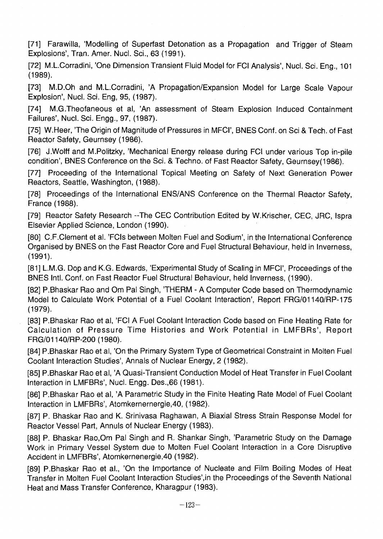[71] Farawilla, 'Modelling of Superfast Detonation as a Propagation and Trigger of Steam Explosions', Tran. Amer. Nucl. Sci., 63 (1991).

[72] M.L.Corradini, 'One Dimension Transient Fluid Model for FCI Analysis', Nucl. Sci. Eng., 101 (1989).

[73] M.D.Oh and M.L.Corradini, 'A Propagation/Expansion Model for Large Scale Vapour Explosion', Nucl. Sci. Eng, 95, (1987).

[74] M.G.Theofaneous et al, 'An assessment of Steam Explosion Induced Containment Failures', Nucl. Sci. Engg., 97, (1987).

[75] W.Heer, 'The Origin of Magnitude of Pressures in MFCI', BNES Conf. on Sci & Tech. of Fast Reactor Safety, Geurnsey (1986).

[76] J.Wolff and M.Politzky, 'Mechanical Energy release during FCI under various Top in-pile condition', BNES Conference on the Sci. & Techno, of Fast Reactor Safety, Geurnsey(1986).

[77] Proceeding of the International Topical Meeting on Safety of Next Generation Power Reactors, Seattle, Washington, (1988).

[78] Proceedings of the International ENS/ANS Conference on the Thermal Reactor Safety, France (1988).

[79] Reactor Safety Research --The CEC Contribution Edited by W.Krischer, CEC, JRC, Ispra Elsevier Applied Science, London (1990).

[80] C.F.Clement et al. 'FCIs between Molten Fuel and Sodium', in the International Conference Organised by BNES on the Fast Reactor Core and Fuel Structural Behaviour, held in Inverness, (1991).

[81] L.M.G. Dop and K.G. Edwards, 'Experimental Study of Scaling in MFCI', Proceedings of the BNES Intl. Conf. on Fast Reactor Fuel Structural Behaviour, held Inverness, (1990).

[82] P.Bhaskar Rao and Om Pal Singh, 'THERM - A Computer Code based on Thermodynamic Model to Calculate Work Potential of a Fuel Coolant Interaction', Report FRG/01140/RP-175 (1979).

[83] P.Bhaskar Rao et al, 'FCI A Fuel Coolant Interaction Code based on Fine Heating Rate for Calculation of Pressure Time Histories and Work Potential in LMFBRs', Report FRG/01140/RP-200 (1980).

[84] P.Bhaskar Rao et al, 'On the Primary System Type of Geometrical Constraint in Molten Fuel Coolant Interaction Studies', Annals of Nuclear Energy, 2 (1982).

[85] P.Bhaskar Rao et al, 'A Quasi-Transient Conduction Model of Heat Transfer in Fuel Coolant Interaction in LMFBRs', Nucl. Engg. Des.,66 (1981).

[86] P.Bhaskar Rao et al, 'A Parametric Study in the Finite Heating Rate Model of Fuel Coolant Interaction in LMFBRs', Atomkemernergie,40, (1982).

[87] P. Bhaskar Rao and K. Srinivasa Raghawan, A Biaxial Stress Strain Response Model for Reactor Vessel Part, Annuls of Nuclear Energy (1983).

[88] P. Bhaskar Rao,Om Pal Singh and R. Shankar Singh, 'Parametric Study on the Damage Work in Primary Vessel System due to Molten Fuel Coolant Interaction in a Core Disruptive Accident in LMFBRs', Atomkernenergie,40 (1982).

[89] P.Bhaskar Rao et al., 'On the Importance of Nucleate and Film Boiling Modes of Heat Transfer in Molten Fuel Coolant Interaction Studies',in the Proceedings of the Seventh National Heat and Mass Transfer Conference, Kharagpur (1983).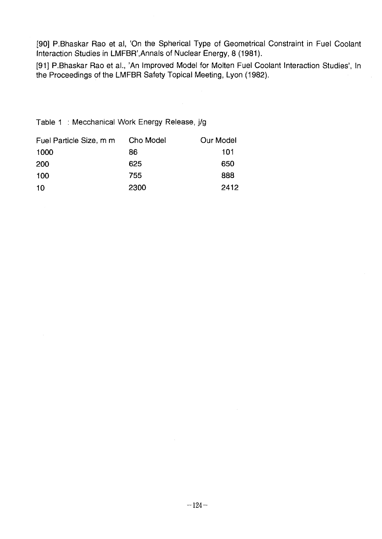[90] P.Bhaskar Rao et al, 'On the Spherical Type of Geometrical Constraint in Fuel Coolant Interaction Studies in LMFBR',Annals of Nuclear Energy, 8 (1981).

[91] P.Bhaskar Rao et al., 'An Improved Model for Molten Fuel Coolant Interaction Studies', In the Proceedings of the LMFBR Safety Topical Meeting, Lyon (1982).

Table 1 : Mecchanical Work Energy Release, j/g

| Fuel Particle Size, m m | Cho Model | Our Model |
|-------------------------|-----------|-----------|
| 1000                    | 86        | 101       |
| 200                     | 625       | 650       |
| 100                     | 755       | 888       |
| 10                      | 2300      | 2412      |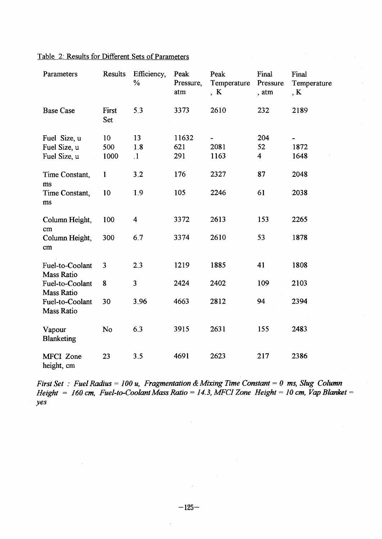| Parameters                                   | Results           | Efficiency,<br>$\frac{0}{6}$ | Peak<br>Pressure,<br>atm | Peak<br>Temperature<br>K | Final<br>Pressure<br>, atm           | Final<br>Temperature<br>, K |  |
|----------------------------------------------|-------------------|------------------------------|--------------------------|--------------------------|--------------------------------------|-----------------------------|--|
| <b>Base Case</b>                             | First<br>Set      | 5.3                          | 3373                     | 2610                     | 232                                  | 2189                        |  |
| Fuel Size, u<br>Fuel Size, u<br>Fuel Size, u | 10<br>500<br>1000 | 13<br>1.8<br>$\cdot$ 1       | 11632<br>621<br>291      | 2081<br>1163             | 204<br>52<br>$\overline{\mathbf{4}}$ | 1872<br>1648                |  |
| Time Constant,<br>ms                         | 1                 | 3.2                          | 176                      | 2327                     | 87                                   | 2048                        |  |
| Time Constant,<br>ms                         | 10                | 1.9                          | 105                      | 2246                     | 61                                   | 2038                        |  |
| Column Height,<br>cm                         | 100               | 4                            | 3372                     | 2613                     | 153                                  | 2265                        |  |
| Column Height,<br>cm                         | 300               | 6.7                          | 3374                     | 2610                     | 53                                   | 1878                        |  |
| Fuel-to-Coolant<br>Mass Ratio                | 3                 | 2.3                          | 1219                     | 1885                     | 41                                   | 1808                        |  |
| Fuel-to-Coolant<br>Mass Ratio                | 8                 | $\overline{3}$               | 2424                     | 2402                     | 109                                  | 2103                        |  |
| Fuel-to-Coolant<br>Mass Ratio                | 30                | 3.96                         | 4663                     | 2812                     | 94                                   | 2394                        |  |
| Vapour<br>Blanketing                         | No                | 6.3                          | 3915                     | 2631                     | 155                                  | 2483                        |  |
| MFCI Zone<br>height, cm                      | 23                | 3.5                          | 4691                     | 2623                     | 217                                  | 2386                        |  |

 $\sim$   $\sim$ 

### Table 2: Results for Different Sets of Parameters

чú.

*First Set : Fuel Radius = 100 u, Fragmentation & Mixing Time Constant = 0 ms, Slug Column Height = 160 cm, Fuel-to-Coolant Mass Ratio = 14.3, MFCI Zone Height = 10 cm, Vap Blanket yes*

 $\mathcal{L}^{\pm}$